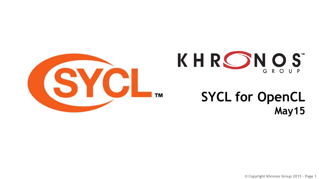



#### **SYCL for OpenCL May15**

**© Copyright Khronos Group 2015 - Page 1**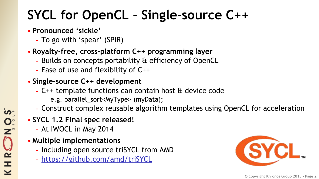# **SYCL for OpenCL - Single-source C++**

#### • **Pronounced 'sickle'**

- To go with 'spear' (SPIR)

#### • **Royalty-free, cross-platform C++ programming layer**

- Builds on concepts portability & efficiency of OpenCL
- Ease of use and flexibility of C++
- **Single-source C++ development**
	- C++ template functions can contain host & device code
		- e.g. parallel\_sort<MyType> (myData);
	- Construct complex reusable algorithm templates using OpenCL for acceleration
- **SYCL 1.2 Final spec released!**
	- At IWOCL in May 2014
- **Multiple implementations**
	- Including open source triSYCL from AMD
	- <https://github.com/amd/triSYCL>

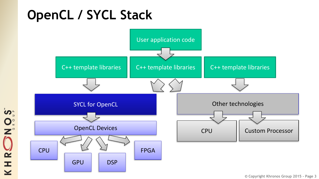## **OpenCL / SYCL Stack**



NOST KHRC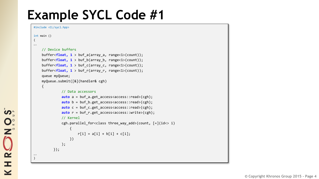### **Example SYCL Code #1**

```
#include <CL/sycl.hpp>
int main ()
{
….
    // Device buffers
    buffer<float, 1 > buf_a(array_a, range<1>(count));
    buffer<float, 1 > buf_b(array_b, range<1>(count));
    buffer<float, 1 > buf_c(array_c, range<1>(count));
    buffer<float, 1 > buf_r(array_r, range<1>(count));
    queue myQueue;
    myQueue.submit([&](handler& cgh)
    {
              // Data accessors
              auto a = buf_a.get_access<access::read>(cgh);
              auto b = buf b.get access<access::read>(cgh);
              auto c = buf c.get access<access::read>(cgh);
              auto r = \text{buf } r.get access<access::write>(cgh);
              // Kernel
              cgh.parallel_for<class three_way_add>(count, [=](id<> i)
                  {
                      r[i] = a[i] + b[i] + c[i];})
              );
          });
….
}
```
**NOST** O<br>H R H  $\geq$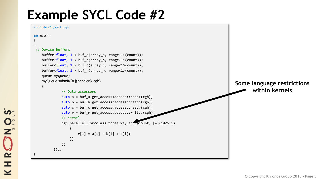### **Example SYCL Code #2**



S<br>S O N ONE

 $\overline{\underline{\mathbf{Y}}}$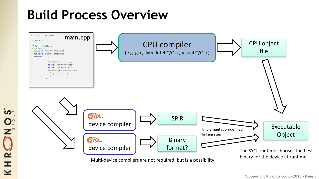### **Build Process Overview**

**SON** 

 $\tilde{\mathbf{z}}$ 

 $\pm$ 

 $\overline{\textbf{Y}}$ 



**© Copyright Khronos Group 2015 - Page 6**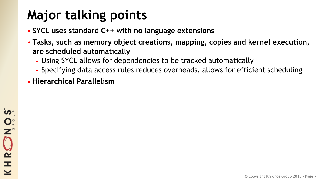# **Major talking points**

- **SYCL uses standard C++ with no language extensions**
- **Tasks, such as memory object creations, mapping, copies and kernel execution, are scheduled automatically**
	- Using SYCL allows for dependencies to be tracked automatically
	- Specifying data access rules reduces overheads, allows for efficient scheduling
- **Hierarchical Parallelism**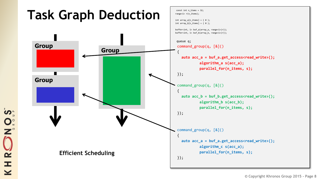

```
NOST
HRC
  \overline{\underline{\mathbf{Y}}}
```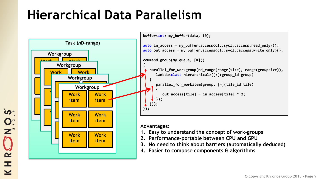## **Hierarchical Data Parallelism**

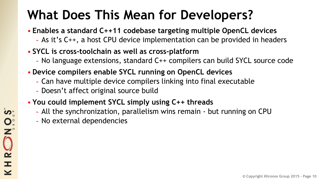# **What Does This Mean for Developers?**

- **Enables a standard C++11 codebase targeting multiple OpenCL devices**
	- As it's C++, a host CPU device implementation can be provided in headers
- **SYCL is cross-toolchain as well as cross-platform**
	- No language extensions, standard C++ compilers can build SYCL source code
- **Device compilers enable SYCL running on OpenCL devices** 
	- Can have multiple device compilers linking into final executable
	- Doesn't affect original source build
- **You could implement SYCL simply using C++ threads** 
	- All the synchronization, parallelism wins remain but running on CPU
	- No external dependencies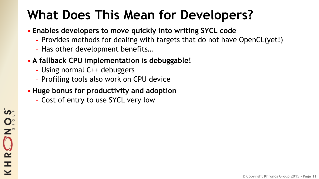# **What Does This Mean for Developers?**

- **Enables developers to move quickly into writing SYCL code**
	- Provides methods for dealing with targets that do not have OpenCL(yet!)
	- Has other development benefits…
- **A fallback CPU implementation is debuggable!**
	- Using normal C++ debuggers
	- Profiling tools also work on CPU device
- **Huge bonus for productivity and adoption**
	- Cost of entry to use SYCL very low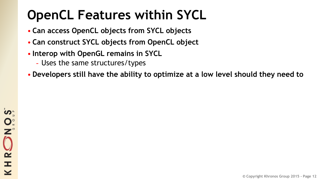# **OpenCL Features within SYCL**

- **Can access OpenCL objects from SYCL objects**
- **Can construct SYCL objects from OpenCL object**
- **Interop with OpenGL remains in SYCL**
	- Uses the same structures/types
- **Developers still have the ability to optimize at a low level should they need to**